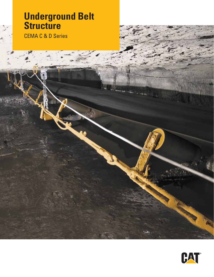# **Underground Belt Structure**

CEMA C & D Series

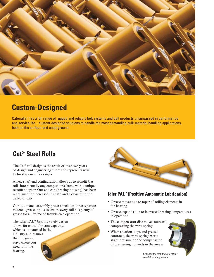

## **Custom-Designed**

Caterpillar has a full range of rugged and reliable belt systems and belt products unsurpassed in performance and service life – custom-designed solutions to handle the most demanding bulk-material handling applications, both on the surface and underground.

## **Cat® Steel Rolls**

The Cat® roll design is the result of over two years of design and engineering effort and represents new technology in idler designs.

A new shaft end configuration allows us to retrofit Cat rolls into virtually any competitor's frame with a unique retrofit adaptor. Our end cap (bearing housing) has been redesigned for increased strength and a close fit to the deflector cap.

Our automated assembly process includes three separate, metered grease inputs to ensure every roll has plenty of grease for a lifetime of trouble-free operation.

The Idler PAL™ bearing cavity design allows for extra lubricant capacity, which is unmatched in the industry and assures that the grease stays where you need it: in the bearing.



### **Idler PAL™ (Positive Automatic Lubrication)**

- **•** Grease moves due to taper of rolling elements in the bearing
- **•** Grease expands due to increased bearing temperatures in operation
- **•** The compensator disc moves outward, compressing the wave spring
- **•** When rotation stops and grease contracts, the wave spring exerts slight pressure on the compensator disc, ensuring no voids in the grease



*Greased for Life: the Idler PAL™ self-lubricating system*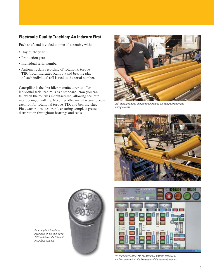### **Electronic Quality Tracking: An Industry First**

Each shaft end is coded at time of assembly with:

- **•** Day of the year
- **•** Production year
- **•** Individual serial number
- **•** Automatic data recording of rotational torque, TIR (Total Indicated Runout) and bearing play of each individual roll is tied to the serial number.

Caterpillar is the first idler manufacturer to offer individual serialized rolls as a standard. Now you can tell when the roll was manufactured, allowing accurate monitoring of roll life. No other idler manufacturer checks each roll for rotational torque, TIR and bearing play. Plus, each roll is "test run", ensuring complete grease distribution throughout bearings and seals.



*Cat® steel rolls going through an automated five-stage assembly and testing process.*





*The computer panel of the roll assembly machine graphically monitors and controls the five stages of the assembly process.*



*For example, this roll was assembled on the 85th day of 2005 and it was the 35th roll assembled that day.*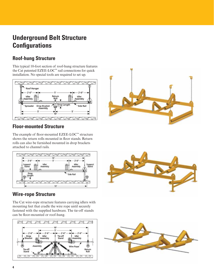## **Underground Belt Structure Configurations**

## **Roof-hung Structure**

This typical 10-foot section of roof-hung structure features the Cat patented EZEE-LOC™ rail connections for quick installation. No special tools are required to set up.



## **Floor-mounted Structure**

The example of floor-mounted EZEE-LOC™ structure shows the return rolls mounted in floor stands. Return rolls can also be furnished mounted in drop brackets attached to channel rails.



## **Wire-rope Structure**

The Cat wire-rope structure features carrying idlers with mounting feet that cradle the wire rope until securely fastened with the supplied hardware. The tie-off stands can be floor-mounted or roof-hung.







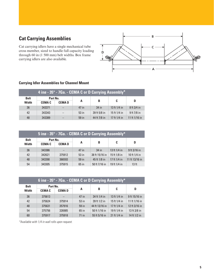## **Cat Carrying Assemblies**

Cat carrying idlers have a single mechanical tube cross member, sized to handle full capacity loading through 60 in (1 500 mm) belt widths. Box frame carrying idlers are also available.



| 4 ing - 35° - 7Ga. - CEMA C or D Carrying Assembly* |               |                          |         |              |              |                 |  |
|-----------------------------------------------------|---------------|--------------------------|---------|--------------|--------------|-----------------|--|
| <b>Belt</b>                                         | Part No.      |                          |         |              |              |                 |  |
| <b>Width</b>                                        | <b>CEMA C</b> | <b>CEMAD</b>             | A       | B            | C            | D               |  |
| 36                                                  | 343371        | $\qquad \qquad -$        | 47 in   | $34$ in      | 13 ft 1/4 in | $8$ ft $3/4$ in |  |
| 42                                                  | 343343        | $\overline{\phantom{0}}$ | $53$ in | 39 ft 5/8 in | 15 ft 1/4 in | $9$ ft 7/8 in   |  |
| 48                                                  | 343389        |                          | 59 in   | 44 ft 7/8 in | 17 ft 1/4 in | 11 ft 1/16 in   |  |

#### **Carrying Idler Assemblies for Channel Mount**

| 5 ing - 35° - 7Ga. - CEMA C or D Carrying Assembly* |               |              |         |                |              |                  |  |
|-----------------------------------------------------|---------------|--------------|---------|----------------|--------------|------------------|--|
| <b>Belt</b>                                         | Part No.      |              |         |                |              |                  |  |
| <b>Width</b>                                        | <b>CEMA C</b> | <b>CEMAD</b> | A       | B              | C            | D                |  |
| 36                                                  | 343386        |              | 47 in   | $34$ in        | 13 ft 1/4 in | 9 ft 3/16 in     |  |
| 42                                                  | 342621        | 375912       | 53 in   | 38 ft 15/16 in | 15 ft 1/8 in | 10 ft 1/4 in     |  |
| 48                                                  | 343390        | 366593       | 59 in   | 45 ft 1/8 in   | 17 ft 1/4 in | 11 ft 13/16 in   |  |
| 54                                                  | 343305        | 375915       | $65$ in | 50 ft 7/16 in  | 19 ft 1/4 in | 13 <sub>ft</sub> |  |

| 6 ing - 35° - 7Ga. - CEMA C or D Carrying Assembly* |               |              |         |                |              |               |  |
|-----------------------------------------------------|---------------|--------------|---------|----------------|--------------|---------------|--|
| <b>Belt</b>                                         | Part No.      |              |         |                |              |               |  |
| <b>Width</b>                                        | <b>CEMA C</b> | <b>CEMAD</b> | A       | B              | C            | D             |  |
| 36                                                  | 375613        |              | 47 in   | 34 ft 1/4 in   | 13 ft 1/4 in | 9 ft 15/16 in |  |
| 42                                                  | 375624        | 375914       | 53 in   | 39 ft 1/2 in   | 15 ft 1/4 in | 11 ft 1/16 in |  |
| 48                                                  | 375631        | 357916       | 59 in   | 44 ft 13/16 in | 17 ft 1/4 in | 12 ft 3/16 in |  |
| 54                                                  | 375756        | 326985       | $65$ in | 50 ft 1/16 in  | 19 ft 1/4 in | 13 ft 3/8 in  |  |
| 60                                                  | 375917        | 375918       | $71$ in | 55 ft 5/16 in  | 21 ft 1/4 in | 14 ft 1/2 in  |  |

*\*Available with 1/4 in wall rolls upon request.*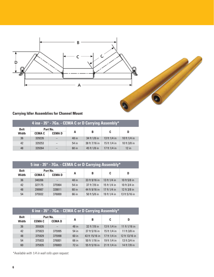

### **Carrying Idler Assemblies for Channel Mount**

| 4 ing - 35° - 7Ga. - CEMA C or D Carrying Assembly* |               |              |         |               |              |                |
|-----------------------------------------------------|---------------|--------------|---------|---------------|--------------|----------------|
| <b>Belt</b>                                         |               | Part No.     |         |               |              |                |
| <b>Width</b>                                        | <b>CEMA C</b> | <b>CEMAD</b> | A       | B             | C            | D              |
| 36                                                  | 329226        |              | 48 in   | 34 ft 1/8 in  | 13 ft 1/4 in | 10 ft $1/4$ in |
| 42                                                  | 329253        |              | $54$ in | 38 ft 7/16 in | 15 ft 1/4 in | 10 ft 3/8 in   |
| 48                                                  | 329264        |              | $60$ in | 45 ft 1/8 in  | 17 ft 1/4 in | $12$ in        |

| 5 ing - 35° - 7Ga. - CEMA C or D Carrying Assembly* |               |              |         |               |              |               |
|-----------------------------------------------------|---------------|--------------|---------|---------------|--------------|---------------|
| <b>Belt</b>                                         | Part No.      |              |         |               |              |               |
| <b>Width</b>                                        | <b>CEMA C</b> | <b>CEMAD</b> | A       | B             | C            | D             |
| 36                                                  | 340206        |              | 48 in   | 33 ft 9/16 in | 13 ft 1/4 in | 10 ft 5/8 in  |
| 42                                                  | 327175        | 375964       | $54$ in | 37 ft 7/8 in  | 15 ft 1/4 in | 10 ft 3/4 in  |
| 48                                                  | 299987        | 328811       | $60$ in | 44 ft 9/16 in | 17 ft 1/4 in | 12 ft 3/8 in  |
| 54                                                  | 375932        | 376000       | 66 in   | 50 ft 5/8 in  | 19 ft 1/4 in | 13 ft 5/16 in |

| 6 ing - 35° - 7Ga. - CEMA C or D Carrying Assembly* |               |              |         |                |              |                |
|-----------------------------------------------------|---------------|--------------|---------|----------------|--------------|----------------|
| <b>Belt</b>                                         | Part No.      |              |         |                |              |                |
| <b>Width</b>                                        | <b>CEMA C</b> | <b>CEMAD</b> | A       | B              | C            | D              |
| 36                                                  | 355926        |              | 48 in   | 32 ft 7/8 in   | 13 ft 1/4 in | 11 ft 1/16 in  |
| 42                                                  | 375923        | 375995       | 54 in   | 37 ft 5/16 in  | 15 ft 1/4 in | 11 ft 3/8 in   |
| 48                                                  | 375929        | 375998       | $60$ in | 43 ft 15/16 in | 17 ft 1/4 in | 12 ft 13/16 in |
| 54                                                  | 375933        | 376001       | 66 in   | 50 ft 1/16 in  | 19 ft 1/4 in | 13 ft 3/4 in   |
| 60                                                  | 375935        | 376003       | $72$ in | 55 ft 5/16 in  | 21 ft 1/4 in | 14 ft 7/8 in   |

*\*Available with 1/4 in wall rolls upon request.*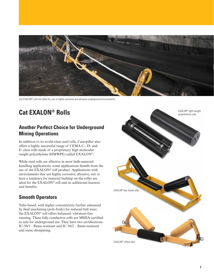

*Cat EXALON® rolls are ideal for use in highly corrosive and abrasive underground environments.*

## **Cat EXALON® Rolls**

## **Another Perfect Choice for Underground Mining Operations**

In addition to its world-class steel rolls, Caterpillar also offers a highly successful range of CEMA C-, D- and E- class rolls made of a proprietary high molecular weight polyethylene (HMWPE) called EXALON®.

While steel rolls are effective in most bulk-material handling applications, some applications benefit from the use of the EXALON® roll product. Applications with environments that are highly corrosive, abrasive, wet or have a tendency for material buildup on the roller are ideal for the EXALON® roll and its additional features and benefits.

### **Smooth Operators**

Tube-based, with higher concentricity further enhanced by final machining (poly-body) for reduced belt wear, the EXALON® roll offers balanced, vibration-free running. These fully conductive rolls are MSHA-certified as safe for underground use. They have two certifications: IC-56/1 – flame-resistant and IC-56/2 – flame-resistant and static-dissipating.

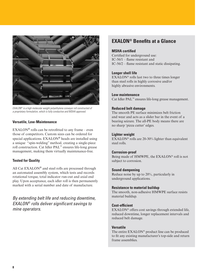

*EXALON® is a high molecular weight polyethylene conveyor roll constructed of a proprietary formulation, which is fully conductive and MSHA approved.*

#### **Versatile, Low-Maintenance**

 $EXAMPLEXALON<sup>®</sup>$  rolls can be retrofitted to any frame – even those of competitors. Custom sizes can be ordered for special applications. EXALON® heads are installed using a unique "spin-welding" method, creating a single-piece roll construction. Cat Idler PAL™ ensures life-long grease management, making them virtually maintenance-free.

#### **Tested for Quality**

All Cat  $EXAMPLEXALON^@$  and steel rolls are processed through an automated assembly system, which tests and records rotational torque, total indicator run-out and axial end play. Upon acceptance, each idler roll is then permanently marked with a serial number and date of manufacture.

*By extending belt life and reducing downtime, EXALON® rolls deliver significant savings to mine operators.* 

## **EXALON® Benefits at a Glance**

#### **MSHA certified**

Certified for underground use: IC-56/1 – flame resistant and IC-56/2 – flame resistant and static dissipating.

#### **Longer shell life**

EXALON® rolls last two to three times longer than steel rolls in highly corrosive and/or highly abrasive environments.

#### **Low maintenance**

Cat Idler PAL™ ensures life-long grease management.

#### **Reduced belt damage**

The smooth PE surface minimizes belt friction and wear and acts as a slider bar in the event of a bearing seizure. The all-PE body means there are no sharp 'pizza cutter' edges.

#### **Lighter weight**

EXALON<sup>®</sup> rolls are 20-30% lighter than equivalent steel rolls.

#### **Corrosion-proof**

Being made of HMWPE, the EXALON® roll is not subject to corrosion.

#### **Sound dampening**

Reduce noise by up to 20%, particularly in underground applications.

#### **Resistance to material buildup**

The smooth, non-adhesive HMWPE surface resists material buildup.

#### **Cost-efficient**

EXALON® offers cost savings through extended life, reduced downtime, longer replacement intervals and reduced belt damage.

#### **Versatile**

The entire EXALON® product line can be produced to fit any existing manufacturer's top-side and return frame assemblies.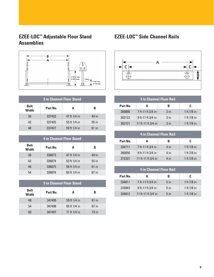## **EZEE-LOC™ Adjustable Floor Stand Assemblies**



| <b>3 in Channel Floor Stand</b> |          |              |         |  |  |  |
|---------------------------------|----------|--------------|---------|--|--|--|
| <b>Belt</b><br>Width            | Part No. | A            | в       |  |  |  |
| 36                              | 337433   | 47 ft 1/4 in | 49 in   |  |  |  |
| 42                              | 337435   | 53 ft 1/4 in | $55$ in |  |  |  |
| 48                              | 337437   | 59 ft 1/4 in | $61$ in |  |  |  |

| <b>4 in Channel Floor Stand</b> |          |              |         |  |  |  |
|---------------------------------|----------|--------------|---------|--|--|--|
| <b>Belt</b><br>Width            | Part No. | A            | B       |  |  |  |
| 36                              | 336873   | 47 ft 1/4 in | 49 in   |  |  |  |
| 42                              | 336874   | 53 ft 1/4 in | 55 in   |  |  |  |
| 48                              | 336875   | 59 ft 1/4 in | $61$ in |  |  |  |
| 54                              | 336876   | 65 ft 1/4 in | $67$ in |  |  |  |

| <b>5 in Channel Floor Stand</b> |          |              |         |  |  |  |
|---------------------------------|----------|--------------|---------|--|--|--|
| <b>Belt</b><br><b>Width</b>     | Part No. | A            | B       |  |  |  |
| 48                              | 347495   | 59 ft 1/4 in | $61$ in |  |  |  |
| 54                              | 347496   | 65 ft 1/4 in | 67 in   |  |  |  |
| 60                              | 347497   | 71 ft 1/4 in | $73$ in |  |  |  |

## **EZEE-LOC™ Side Channel Rails**



| <b>3 in Channel Floor Rail</b> |                    |                 |               |  |  |  |
|--------------------------------|--------------------|-----------------|---------------|--|--|--|
| Part No.                       | A                  | в               | c             |  |  |  |
| 300808                         | 7 ft-11 ft 3/4 in  | 3 <sub>in</sub> | 1 ft $7/8$ in |  |  |  |
| 302123                         | 9 ft-11 ft 3/4 in  | $3$ in          | 1 ft 7/8 in   |  |  |  |
| 302121                         | 11 ft-11 ft 3/4 in | 3 <sub>in</sub> | 1 ft 7/8 in   |  |  |  |

| <b>4 in Channel Floor Rail</b> |                    |        |               |  |  |  |
|--------------------------------|--------------------|--------|---------------|--|--|--|
| Part No.                       | A                  | в      | C             |  |  |  |
| 334711                         | 7 ft-11 ft 3/4 in  | $4$ in | 1 ft $7/8$ in |  |  |  |
| 260050                         | 9 ft-11 ft 3/4 in  | $4$ in | 1 ft $7/8$ in |  |  |  |
| 272337                         | 11 ft-11 ft 3/4 in | 4 in   | 1 ft $7/8$ in |  |  |  |

| <b>5 in Channel Floor Rail</b> |                    |                 |               |  |  |  |
|--------------------------------|--------------------|-----------------|---------------|--|--|--|
| Part No.                       | A                  | в               | C             |  |  |  |
| 334811                         | 7 ft-11 ft 3/4 in  | 5 <sub>in</sub> | 1 ft $7/8$ in |  |  |  |
| 310943                         | 9 ft-11 ft 3/4 in  | 5 <sub>in</sub> | 1 ft $7/8$ in |  |  |  |
| 334812                         | 11 ft-11 ft 3/4 in | $5$ in          | 1 ft $7/8$ in |  |  |  |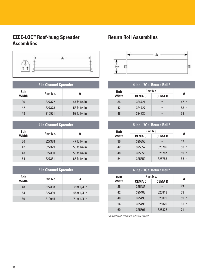## **EZEE-LOC™ Roof-hung Spreader Assemblies**



| <b>3 in Channel Spreader</b> |          |              |  |
|------------------------------|----------|--------------|--|
| <b>Belt</b><br><b>Width</b>  | Part No. | А            |  |
| 36                           | 327372   | 47 ft 1/4 in |  |
| 42                           | 327373   | 53 ft 1/4 in |  |
| 48                           | 310971   | 59 ft 1/4 in |  |

| <b>4 in Channel Spreader</b> |          |              |  |
|------------------------------|----------|--------------|--|
| <b>Belt</b><br>Width         | Part No. | A            |  |
| 36                           | 327378   | 47 ft 1/4 in |  |
| 42                           | 327379   | 53 ft 1/4 in |  |
| 48                           | 327380   | 59 ft 1/4 in |  |
| 54                           | 327381   | 65 ft 1/4 in |  |

| <b>5 in Channel Spreader</b> |          |              |  |
|------------------------------|----------|--------------|--|
| <b>Belt</b><br><b>Width</b>  | Part No. | A            |  |
| 48                           | 327388   | 59 ft 1/4 in |  |
| 54                           | 327389   | 65 ft 1/4 in |  |
| 60                           | 310945   | 71 ft 1/4 in |  |

## **Return Roll Assemblies**



| 4 ing - 7Ga. Return Roll* |               |              |         |
|---------------------------|---------------|--------------|---------|
| <b>Belt</b>               | Part No.      |              |         |
| Width                     | <b>CEMA C</b> | <b>CEMAD</b> | A       |
| 36                        | 324721        |              | 47 in   |
| 42                        | 324727        |              | $53$ in |
| 48                        | 324730        |              | 59 in   |

|              | 5 ing - 7Ga. Return Roll* |              |         |  |
|--------------|---------------------------|--------------|---------|--|
| <b>Belt</b>  | Part No.                  |              | A       |  |
| <b>Width</b> | <b>CEMA C</b>             | <b>CEMAD</b> |         |  |
| 36           | 325356                    |              | 47 in   |  |
| 42           | 325357                    | 325786       | 53 in   |  |
| 48           | 325358                    | 325787       | 59 in   |  |
| 54           | 325359                    | 325788       | $65$ in |  |
|              |                           |              |         |  |

|             | 6 ing - 7Ga. Return Roll* |              |         |
|-------------|---------------------------|--------------|---------|
| <b>Belt</b> | Part No.                  | A            |         |
| Width       | <b>CEMA C</b>             | <b>CEMAD</b> |         |
| 36          | 325485                    |              | 47 in   |
| 42          | 325488                    | 325818       | $53$ in |
| 48          | 325493                    | 325819       | 59 in   |
| 54          | 325498                    | 325820       | $65$ in |
| 60          | 325501                    | 325822       | $71$ in |

*\*Available with 1/4 in wall rolls upon request.*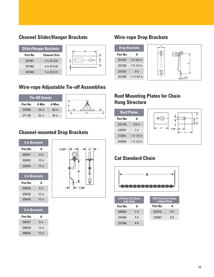## **Channel Slider/Hanger Brackets**

|          | <b>Slider/Hanger Brackets</b> |
|----------|-------------------------------|
| Part No. | <b>Channel Size</b>           |
| 347481   | 3 in $@3.5#$                  |
| 347482   | 4 in $@5.4#$                  |
| 347483   | 5 in $@6.7#$                  |

## **Wire-rope Adjustable Tie-off Assemblies**

| <b>Tie-Off Stands</b> |         |         |  |
|-----------------------|---------|---------|--|
| Part No.              | A Min.  | A Max.  |  |
| 276956                | 24 in   | $36$ in |  |
| 271136                | $32$ in | 48 in   |  |



## **Channel-mounted Drop Brackets**

|                      | <b>3 in Brackets</b> |  |  |  |  |
|----------------------|----------------------|--|--|--|--|
| Part No.             | A                    |  |  |  |  |
| 338431               | $9$ in               |  |  |  |  |
| 338433               | $12$ in              |  |  |  |  |
| 338435               | $15$ in              |  |  |  |  |
| <b>4 in Brackets</b> |                      |  |  |  |  |
| Part No.<br>A        |                      |  |  |  |  |
| 338426               | $9$ in               |  |  |  |  |
| 338428               | $12$ in              |  |  |  |  |
| 338430               | $15$ in              |  |  |  |  |

| <b>5 in Brackets</b> |                 |  |  |
|----------------------|-----------------|--|--|
| Part No.             | A               |  |  |
| 338437               | 9 <sub>in</sub> |  |  |
| 338439               | $12$ in         |  |  |
| 288558               | $15$ in         |  |  |



## **Wire-rope Drop Brackets**



## **Roof Mounting Plates for Chain Hung Structure**

| <b>Roof Plates</b> |             |     |
|--------------------|-------------|-----|
| Part No.           | А           |     |
| 223140             | $3/4$ in    | А   |
| 246787             | $1$ in      | 238 |
| 213551             | 1 ft 1/4 in |     |
| 242648             | 1 ft 1/2 in |     |

## **Cat Standard Chain**



| 1/4 Proof Coil Chain<br>with Hook |                 | <b>5/16 Proof Coil Chain</b><br>without Hook |                 |
|-----------------------------------|-----------------|----------------------------------------------|-----------------|
| Part No.                          |                 | Part No.                                     |                 |
| 208650                            | 4 ft            | 222516                                       | 5 <sub>ft</sub> |
| 244458                            | 5 <sub>ft</sub> | 216997                                       | 6 ft            |
| 231598                            | 6 ft            |                                              |                 |